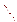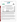# **THE ENVIRONMENTAL TECHNOLOGY VERIFICATION PROGRAM**

**F.TV** 



**U.S. Environmental Protection Agency** 



# **ETV Joint Verification Statement**

|                                      | TECHNOLOGY TYPE: ON-BOARD EMISSIONS MONITOR                                                                               |      |                                         |  |
|--------------------------------------|---------------------------------------------------------------------------------------------------------------------------|------|-----------------------------------------|--|
| <b>APPLICATION:</b>                  | <b>MEASURING VEHICLE EXHAUST EMISSIONS</b>                                                                                |      |                                         |  |
|                                      | TECHNOLOGY NAME: REMOTE (Real-world Emissions Monitoring On-board<br><b>Testing Equipment) On-board Emissions Monitor</b> |      |                                         |  |
| <b>COMPANY:</b>                      | <b>Clean Air Technologies International Inc.</b>                                                                          |      |                                         |  |
| <b>ADDRESS:</b>                      | <b>819 East Ferry Street</b><br><b>Buffalo, NY 14211</b>                                                                  | FAX: | PHONE: 1-716-893-5800<br>1-716-893-0547 |  |
| <b>WEB SITE:</b><br>$E\text{-}MAIL:$ | http://www.cleanairt.com<br>info@cleanairt.com                                                                            |      |                                         |  |

The U.S. Environmental Protection Agency (EPA) supports the Environmental Technology Verification (ETV) Program to facilitate the deployment of innovative or improved environmental technologies through performance verification and dissemination of information. The goal of the ETV Program is to further environmental protection by substantially accelerating the acceptance and use of improved and cost-effective technologies. ETV seeks to achieve this goal by providing high-quality, peer-reviewed data on technology performance to those involved in the design, distribution, financing, permitting, purchase, and use of environmental technologies.

ETV works in partnership with recognized standards and testing organizations, with stakeholder groups (consisting of buyers, vendor organizations, and permitters), and with individual technology developers. The program evaluates the performance of innovative technologies by developing test plans that are responsive to the needs of stakeholders, conducting field or laboratory tests (as appropriate), collecting and analyzing data, and preparing peer-reviewed reports. All evaluations are conducted in accordance with rigorous quality assurance (QA) protocols to ensure that data of known and adequate quality are generated and that the results are defensible.

The Advanced Monitoring Systems (AMS) Center, one of seven technology areas under ETV, is operated by Battelle in cooperation with EPA's National Exposure Research Laboratory. The AMS Center has recently evaluated the performance of an on-board emissions monitor used to measure vehicle exhaust emissions. This verification statement provides a summary of the test results for the Real-world Emissions Monitoring On-board Testing Equipment (REMOTE) on-board emissions monitor (OEM).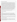#### **VERIFICATION TEST DESCRIPTION**

The verification was based on evaluating the performance of the REMOTE OEM under realistic operating conditions. Duplicate REMOTE OEMs were operated side-by-side throughout all portions of the verification test, which was conducted between May 7 and May 10, 2001, to estimate measurement precision. (A delay by the OEM vendor postponed preparation of this report until early 2003.) Overall accuracy (bias and precision) of the REMOTE OEM relative to emission measurements made by standard emission test equipment with a chassis dynamometer was assessed in three test vehicles: Chevrolet Cavalier (1998, 2.2 L, 4 cylinder, 22,697 miles); Chevrolet Tahoe (1997, 5.7 L, 8 cylinder, 63,857 miles); and Ford Taurus (1998, 3.0 L, 6 cylinder, 33,981 miles). Reliability and ease of use also were assessed. Two REMOTE OEMs (OEM A and B) were operated on two test cycles: the Federal Test Procedure (FTP) and the US06 cycle. In phase one of testing, three dynamometer test cycles were conducted with each of the three vehicles, to test whether interactions between vehicle type and test cycle have an impact on observed bias and precision. Four additional US06 cycles were performed on the Cavalier. Three of these were conducted at 30, 75, and 100°F, respectively, to assess the effect of temperature on OEM performance. The fourth US06 cycle was performed at 100°F with the Cavalier's air conditioner operating at maximum capacity to assess whether using vehicle accessories influences the performance of the REMOTE OEM. For all of the dynamometer test cycles, vehicle emissions were measured using flame ionization detection (FID) for hydrocarbons (HC), non-dispersive infrared spectroscopy for carbon monoxide (CO) and carbon dioxide  $(CO_2)$ , and chemiluminescence for nitrogen oxides  $(NO_x)$ . In phase two of testing, the duplicate REMOTE OEMs were installed in each test vehicle, and each vehicle was driven for approximately 15 minutes over each of two routes: one that was predominantly stop-and-go traffic and one that was predominantly sustained high-speed traffic. Second-by-second on-road data for HC, CO, NO<sub>x</sub>, and CO<sub>2</sub> were collected by the duplicate REMOTE OEMs and used to visually compare the response of the REMOTE OEMs.

QA oversight of verification testing was provided by Battelle. Battelle QA staff conducted a technical systems audit, a performance evaluation audit, and a data quality audit of 10% of the test data.

## **TECHNOLOGY DESCRIPTION**

The following description of the REMOTE OEM was provided by the vendor and does not represent verified information.

The REMOTE OEM is capable of measuring exhaust emissions from electronically controlled light-duty passenger vehicles and light trucks of model year 1996 and newer with on-board diagnostics (OBD) ports. The REMOTE OEM, using infrared techniques to measure  $CO$ ,  $CO<sub>2</sub>$ , and HC and electrochemical techniques to measure  $NO<sub>x</sub>$ , is designed to provide real-time on-road emissions measurements and to derive test- and bagaveraged emissions during standard vehicle test cycles, as used in vehicle dynamometer testing. The REMOTE OEM provides second-by-second total HC,  $CO$ ,  $CO_2$ ,  $NO_x$ , and  $O_2$  readings and total mass emissions summaries for individual test cycles. It includes a touch-screen computer and comes standard in a powder-coated aluminum housing.

The REMOTE OEM is installed in the passenger seat of the vehicle and connects to the vehicle in three locations. The cigarette lighter provides the power in the majority of installations (auxiliary battery optional), the OBD port under the dashboard provides the engine data stream, and the sample exhaust probe is inserted into the tailpipe.

### **VERIFICATION OF PERFORMANCE**

**Bias:** Table 1 shows the results from the bias calculations. Considering all test data combined, the REMOTE OEM exhibited biases ranging between 34.8 and -11.2%. Considering all test data organized by test vehicle and test cycle, the REMOTE OEM exhibited biases for  $NO<sub>x</sub>$  and CO ranging between -0.14 and 21.3% for OEM A and between -1.56 and 16.5% for OEM B. Biases for HC and  $CO_2$  ranged between 8.09 and 63.9% for OEM A and between 9.53 and 44.7 % for OEM B.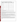| <b>Bias</b>       | <b>OEMA</b> |          |                 |                 | <b>OEMB</b> |          |                 |                 |
|-------------------|-------------|----------|-----------------|-----------------|-------------|----------|-----------------|-----------------|
| Pooling           | HC          | $\bf CO$ | NO <sub>x</sub> | CO <sub>2</sub> | HC          | $\bf CO$ | NO <sub>x</sub> | CO <sub>2</sub> |
| <b>Total Test</b> |             |          |                 |                 |             |          |                 |                 |
| % Bias            | 34.8        | $-7.95$  | $-11.2$         | 16.5            | 21.5        | $-2.07$  | 1.96            | 22.2            |
| $\pm$             | 9.56        | 1.80     | 3.35            | 2.50            | 4.82        | 2.84     | 3.90            | 3.60            |
| Cavalier          |             |          |                 |                 |             |          |                 |                 |
| % Bias            | 63.9        | $-0.14$  | $-1.93$         | 29.5            | 24.9        | 5.40     | 16.5            | 44.7            |
| $\pm$             | 15.8        | 1.19     | 5.33            | 3.39            | 3.56        | 2.98     | 6.01            | 4.11            |
| <b>Tahoe</b>      |             |          |                 |                 |             |          |                 |                 |
| % Bias            | 11.2        | $-12.9$  | $-10.3$         | 8.09            | 20.1        | $-7.79$  | $-3.04$         | 9.53            |
| $\pm$             | 2.22        | 2.09     | 1.46            | 0.73            | 4.97        | 3.12     | 1.64            | 0.70            |
| <b>Taurus</b>     |             |          |                 |                 |             |          |                 |                 |
| % Bias            | 29.4        | $-10.8$  | $-21.3$         | 11.8            | 19.4        | $-3.80$  | $-7.58$         | 12.3            |
| $\pm$             | 2.42        | 1.05     | 1.42            | 0.39            | 6.12        | 1.94     | 1.32            | 0.34            |
| FTP cycles        |             |          |                 |                 |             |          |                 |                 |
| % Bias            | 53.9        | $-7.47$  | $-18.1$         | 19.2            | 20.6        | $-1.56$  | $-4.57$         | 25.2            |
| $\pm$             | 12.8        | 1.40     | 2.05            | 3.29            | 3.48        | 2.63     | 1.98            | 3.78            |
| US06 cycles       |             |          |                 |                 |             |          |                 |                 |
| % Bias            | 15.8        | $-8.42$  | $-4.23$         | 13.7            | 22.4        | $-2.57$  | 8.48            | 19.2            |
| 土                 | 2.62        | 2.22     | 4.07            | 1.39            | 6.11        | 3.19     | 5.06            | 3.57            |

|  |  | Table 1. Percent Bias Values and Confidence Intervals for REMOTE OEM |  |
|--|--|----------------------------------------------------------------------|--|
|  |  |                                                                      |  |

Note: Bold rows show results by vehicle.

**Unit-to-Unit Precision:** Table 2 shows the results from the precision calculations. In nearly all cases, coefficients of variation (CVs) of the duplicate OEMs for all the emissions measured from all vehicles were less than 5%. The largest CV was reported for HC during the Cavalier test at  $8.97 \pm 11.6\%$  over a tested range of 0.05 to 0.47 grams per mile (g/mi). The smallest CV was seen for CO during the Cavalier test at 1.11  $\pm$  1.43% over a tested range of  $0.70$  to  $12.0$  (g/mi).

**Reliability and Ease of Use:** All data were collected as expected, and the REMOTE OEMs had no downtime during the tests. The REMOTE OEMs were installed in the vehicles with no difficulty for the on-road testing. Operation over a temperature range of 30 to 100°F had no adverse effect on OEM reliability, and operation over this range showed no consistent effect of temperature on OEM bias for any of the measured species.

**Other Unit-to-Reference Method Comparisons:** The second-by-second data for the reference method and the REMOTE OEM illustrate close agreement. A time delay between the reference monitors and the REMOTE OEM was due to the different lag times in sampling by the reference monitors.

The linear regression of OEM and FTP bag results shows that, except for the OEM A HC results ( $r^2$  of 0.54), both OEM A and OEM B had coefficients of determination greater than 0.86 for all four emitted species. The slopes of the linear regressions for OEM A and OEM B relative to the FTP bag results were between 0.97 and 1.03 for  $CO_2$  over a tested range of 300 to 620 (g/mi). The slopes were between 0.95 and 1.05 for CO over a tested range